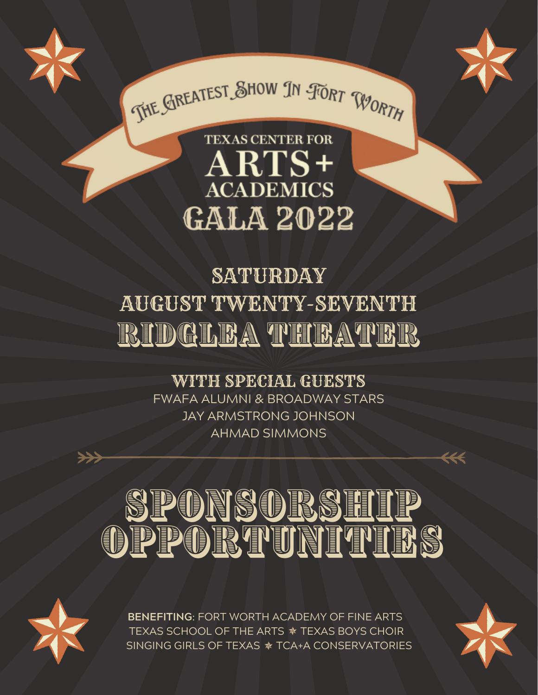





# **TEXAS CENTER FOR**  $ARTS+$ **ACADEMICS GALA 2022**

# SATURDAY AUGUST TWENTY-SEVENTH RIDGLEA THEATER

### WITH SPECIAL GUESTS

FWAFA ALUMNI & BROADWAY STARS JAY ARMSTRONG JOHNSON AHMAD SIMMONS

# <u>PONSODS HIP</u> OPPORTUNITINS



**BENEFITING**: FORT WORTH ACADEMY OF FINE ARTS TEXAS SCHOOL OF THE ARTS  $*$  TEXAS BOYS CHOIR SINGING GIRLS OF TEXAS \* TCA+A CONSERVATORIES

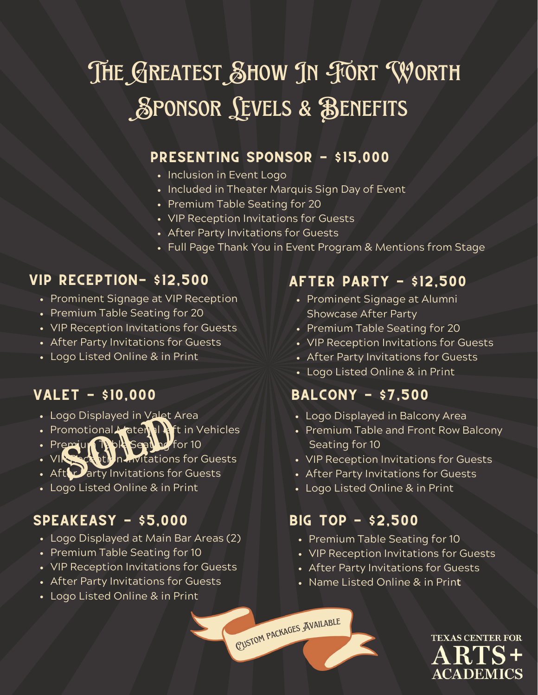# **SPONSOR LEVELS & BENEFITS** THE GREATEST SHOW IN FORT WORTH

#### PRESENTING sponsor - \$15,000

- Inclusion in Event Logo
- Included in Theater Marquis Sign Day of Event
- Premium Table Seating for 20
- VIP Reception Invitations for Guests
- After Party Invitations for Guests
- Full Page Thank You in Event Program & Mentions from Stage

#### vip RECEPTION- \$12,500

- Prominent Signage at VIP Reception
- Premium Table Seating for 20
- VIP Reception Invitations for Guests
- After Party Invitations for Guests
- Logo Listed Online & in Print

- Logo Displayed in Valet Area
- Promotional Material **Ri**t in Vehicles and Displayed in Valet A<br>
Search The Search of the Search of the Search of the Search of the Search of the Search of the Search of the<br>
Fither Darty Invitations for
- Premium Table Seating for 10
- VIP Reception Invitations for Guests
- $\cdot$  Aft $\Omega$  arty Invitations for Guests
- Logo Listed Online & in Print

#### SPEAKEASY - \$5,000 BIG TOP - \$2,500

- Logo Displayed at Main Bar Areas (2)
- Premium Table Seating for 10
- VIP Reception Invitations for Guests
- After Party Invitations for Guests
- Logo Listed Online & in Print

#### after party - \$12,500

- Prominent Signage at Alumni Showcase After Party
- Premium Table Seating for 20
- VIP Reception Invitations for Guests
- After Party Invitations for Guests
- Logo Listed Online & in Print

#### valet - \$10,000 balcony - \$7,500

- Logo Displayed in Balcony Area
- Premium Table and Front Row Balcony Seating for 10
- VIP Reception Invitations for Guests
- After Party Invitations for Guests
- Logo Listed Online & in Print

- Premium Table Seating for 10
- VIP Reception Invitations for Guests
- After Party Invitations for Guests
- Name Listed Online & in Prin**t**

<sup>C</sup>usto<sup>m</sup> <sup>p</sup>ackage<sup>s</sup> <sup>A</sup>vailabl<sup>e</sup>

**TEXAS CENTER FOR ACADEM**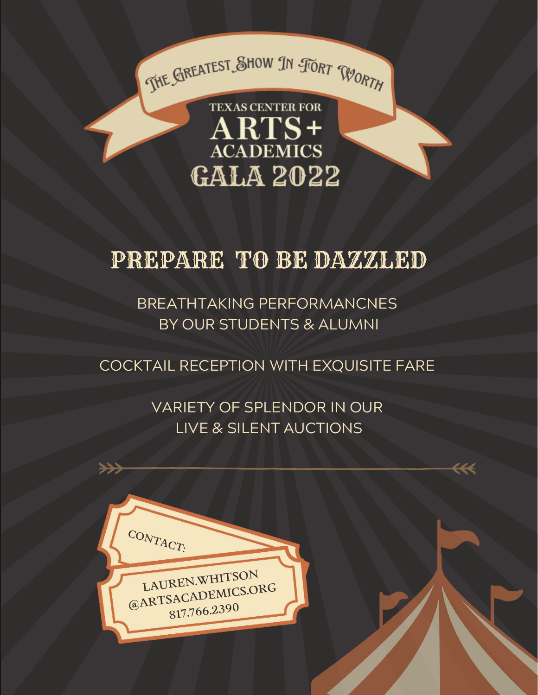

## PREPARE TO BE DAZZLED

BREATHTAKING PERFORMANCNES BY OUR STUDENTS & ALUMNI

COCKTAIL RECEPTION WITH EXQUISITE FARE

VARIETY OF SPLENDOR IN OUR LIVE & SILENT AUCTIONS

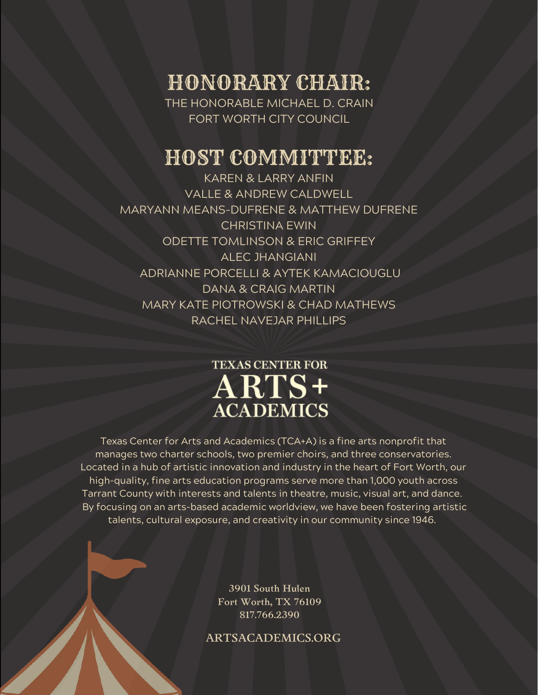HONORARY CHAIR: THE HONORABLE MICHAEL D. CRAIN

FORT WORTH CITY COUNCIL

#### HOST COMMITTEE:

KAREN & LARRY ANFIN VALLE & ANDREW CALDWELL MARYANN MEANS-DUFRENE & MATTHEW DUFRENE CHRISTINA EWIN ODETTE TOMLINSON & ERIC GRIFFEY ALEC JHANGIANI ADRIANNE PORCELLI & AYTEK KAMACIOUGLU DANA & CRAIG MARTIN MARY KATE PIOTROWSKI & CHAD MATHEWS RACHEL NAVEJAR PHILLIPS

#### **TEXAS CENTER FOR** ARTS+ **ACADEMICS**

Texas Center for Arts and Academics (TCA+A) is a fine arts nonprofit that manages two charter schools, two premier choirs, and three conservatories. Located in a hub of artistic innovation and industry in the heart of Fort Worth, our high-quality, fine arts education programs serve more than 1,000 youth across Tarrant County with interests and talents in theatre, music, visual art, and dance. By focusing on an arts-based academic worldview, we have been fostering artistic talents, cultural exposure, and creativity in our community since 1946.

> 3901 South Hulen Fort Worth, TX 76109 817.766.2390

ARTSACADEMICS.ORG